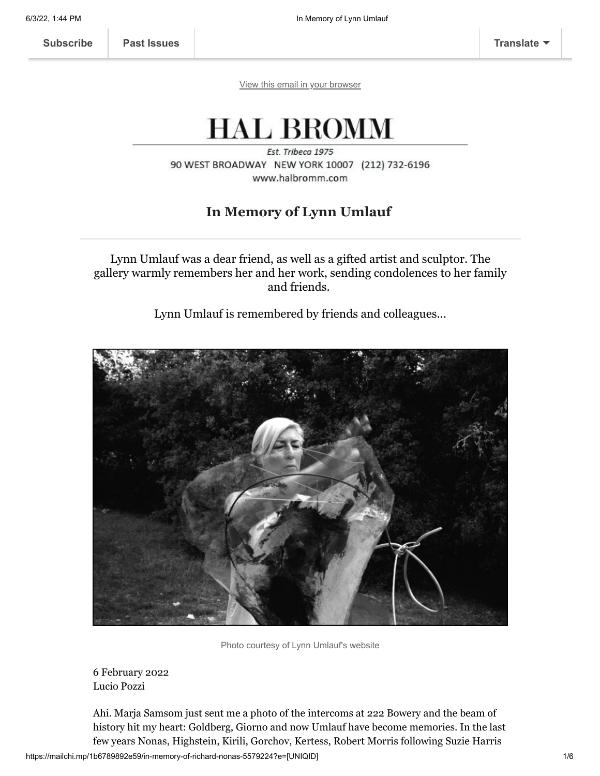[View this email in your browser](https://mailchi.mp/1b6789892e59/in-memory-of-richard-nonas-5579224?e=[UNIQID])

# **HAL BROMM**

Est. Tribeca 1975 90 WEST BROADWAY NEW YORK 10007 (212) 732-6196 www.halbromm.com

## **In Memory of Lynn Umlauf**

Lynn Umlauf was a dear friend, as well as a gifted artist and sculptor. The gallery warmly remembers her and her work, sending condolences to her family and friends.

Lynn Umlauf is remembered by friends and colleagues...



Photo courtesy of Lynn Umlauf's website

6 February 2022 Lucio Pozzi

Ahi. Marja Samsom just sent me a photo of the intercoms at 222 Bowery and the beam of history hit my heart: Goldberg, Giorno and now Umlauf have become memories. In the last few years Nonas, Highstein, Kirili, Gorchov, Kertess, Robert Morris following Suzie Harris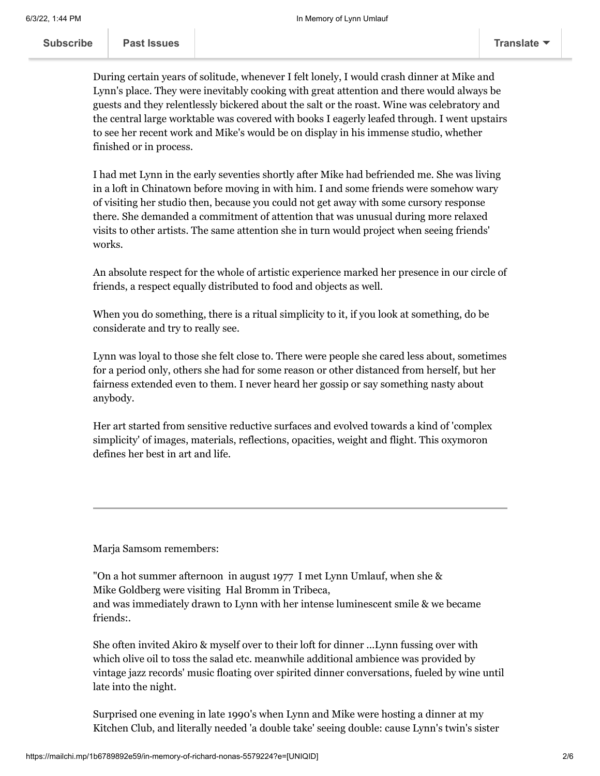**[Subscribe](http://eepurl.com/gMVS-b) Past Issues [Translate](javascript:;)**

 $\frac{1}{2}$  as issues

During certain years of solitude, whenever I felt lonely, I would crash dinner at Mike and Lynn's place. They were inevitably cooking with great attention and there would always be guests and they relentlessly bickered about the salt or the roast. Wine was celebratory and the central large worktable was covered with books I eagerly leafed through. I went upstairs to see her recent work and Mike's would be on display in his immense studio, whether finished or in process.

I had met Lynn in the early seventies shortly after Mike had befriended me. She was living in a loft in Chinatown before moving in with him. I and some friends were somehow wary of visiting her studio then, because you could not get away with some cursory response there. She demanded a commitment of attention that was unusual during more relaxed visits to other artists. The same attention she in turn would project when seeing friends' works.

An absolute respect for the whole of artistic experience marked her presence in our circle of friends, a respect equally distributed to food and objects as well.

When you do something, there is a ritual simplicity to it, if you look at something, do be considerate and try to really see.

Lynn was loyal to those she felt close to. There were people she cared less about, sometimes for a period only, others she had for some reason or other distanced from herself, but her fairness extended even to them. I never heard her gossip or say something nasty about anybody.

Her art started from sensitive reductive surfaces and evolved towards a kind of 'complex simplicity' of images, materials, reflections, opacities, weight and flight. This oxymoron defines her best in art and life.

Marja Samsom remembers:

"On a hot summer afternoon in august 1977 I met Lynn Umlauf, when she & Mike Goldberg were visiting Hal Bromm in Tribeca, and was immediately drawn to Lynn with her intense luminescent smile & we became friends:.

She often invited Akiro & myself over to their loft for dinner ...Lynn fussing over with which olive oil to toss the salad etc. meanwhile additional ambience was provided by vintage jazz records' music floating over spirited dinner conversations, fueled by wine until late into the night.

Surprised one evening in late 1990's when Lynn and Mike were hosting a dinner at my Kitchen Club, and literally needed 'a double take' seeing double: cause Lynn's twin's sister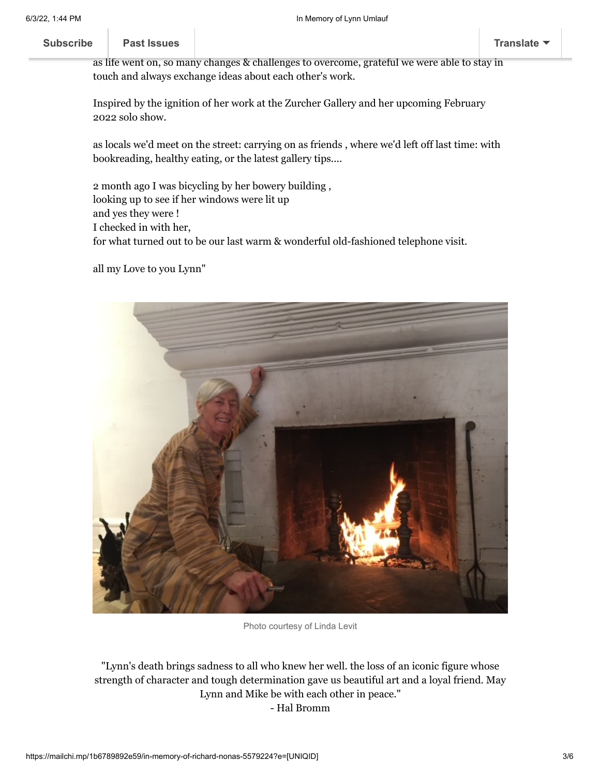#### wa[s sitting next to her.](https://us11.campaign-archive.com/home/?u=01457ce935317ad1d5b4d7b39&id=f7d2f74d1d) ... **[Subscribe](http://eepurl.com/gMVS-b) Past Issues [Translate](javascript:;)**

as life went on, so many changes & challenges to overcome, grateful we were able to stay in touch and always exchange ideas about each other's work.

Inspired by the ignition of her work at the Zurcher Gallery and her upcoming February 2022 solo show.

as locals we'd meet on the street: carrying on as friends , where we'd left off last time: with bookreading, healthy eating, or the latest gallery tips....

2 month ago I was bicycling by her bowery building , looking up to see if her windows were lit up and yes they were ! I checked in with her, for what turned out to be our last warm & wonderful old-fashioned telephone visit.

all my Love to you Lynn"



Photo courtesy of Linda Levit

"Lynn's death brings sadness to all who knew her well. the loss of an iconic figure whose strength of character and tough determination gave us beautiful art and a loyal friend. May Lynn and Mike be with each other in peace." - Hal Bromm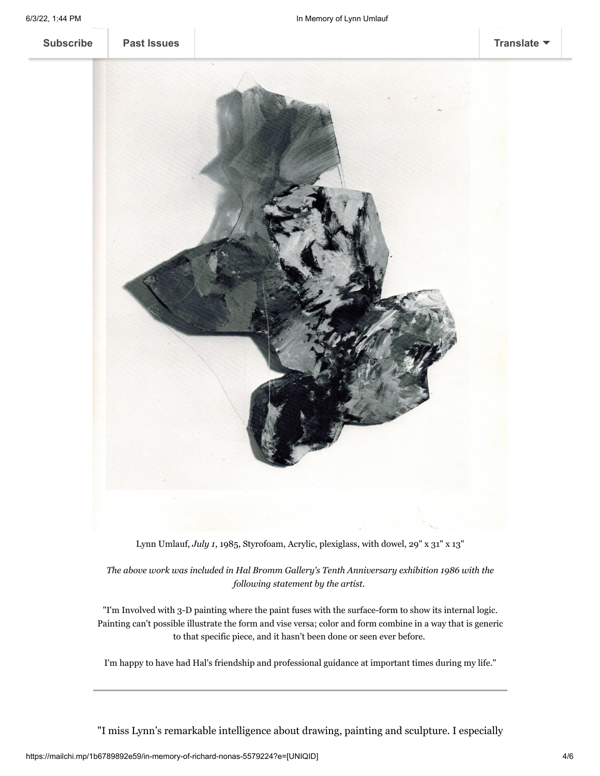**[Subscribe](http://eepurl.com/gMVS-b) [Past Issues](https://us11.campaign-archive.com/home/?u=01457ce935317ad1d5b4d7b39&id=f7d2f74d1d) [Translate](javascript:;)**



Lynn Umlauf, *July 1*, 1985, Styrofoam, Acrylic, plexiglass, with dowel, 29" x 31" x 13"

*The above work was included in Hal Bromm Gallery's Tenth Anniversary exhibition 1986 with the following statement by the artist.*

"I'm Involved with 3-D painting where the paint fuses with the surface-form to show its internal logic. Painting can't possible illustrate the form and vise versa; color and form combine in a way that is generic to that specific piece, and it hasn't been done or seen ever before.

I'm happy to have had Hal's friendship and professional guidance at important times during my life."

"I miss Lynn's remarkable intelligence about drawing, painting and sculpture. I especially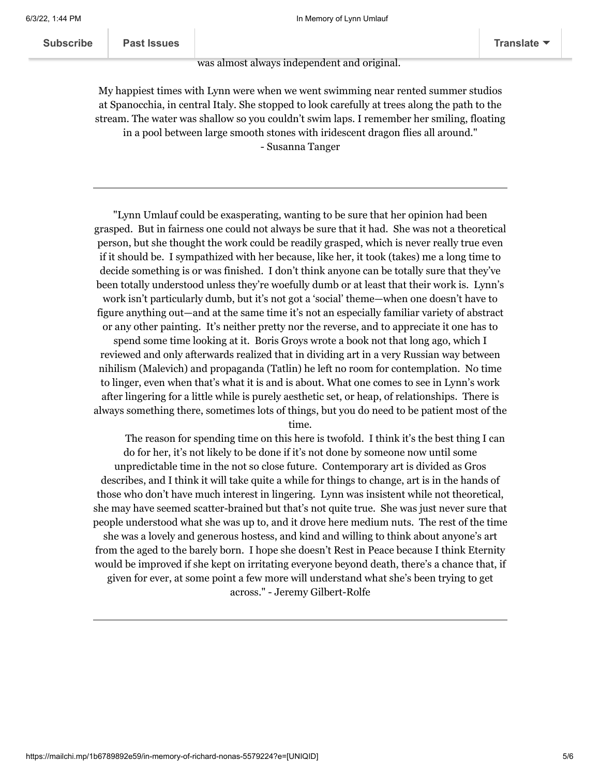#### was almost always independent and original.

My happiest times with Lynn were when we went swimming near rented summer studios at Spanocchia, in central Italy. She stopped to look carefully at trees along the path to the stream. The water was shallow so you couldn't swim laps. I remember her smiling, floating in a pool between large smooth stones with iridescent dragon flies all around." - Susanna Tanger

"Lynn Umlauf could be exasperating, wanting to be sure that her opinion had been grasped. But in fairness one could not always be sure that it had. She was not a theoretical person, but she thought the work could be readily grasped, which is never really true even if it should be. I sympathized with her because, like her, it took (takes) me a long time to decide something is or was finished. I don't think anyone can be totally sure that they've been totally understood unless they're woefully dumb or at least that their work is. Lynn's work isn't particularly dumb, but it's not got a 'social' theme—when one doesn't have to figure anything out—and at the same time it's not an especially familiar variety of abstract or any other painting. It's neither pretty nor the reverse, and to appreciate it one has to spend some time looking at it. Boris Groys wrote a book not that long ago, which I reviewed and only afterwards realized that in dividing art in a very Russian way between nihilism (Malevich) and propaganda (Tatlin) he left no room for contemplation. No time to linger, even when that's what it is and is about. What one comes to see in Lynn's work after lingering for a little while is purely aesthetic set, or heap, of relationships. There is always something there, sometimes lots of things, but you do need to be patient most of the

time.

 The reason for spending time on this here is twofold. I think it's the best thing I can do for her, it's not likely to be done if it's not done by someone now until some unpredictable time in the not so close future. Contemporary art is divided as Gros describes, and I think it will take quite a while for things to change, art is in the hands of those who don't have much interest in lingering. Lynn was insistent while not theoretical, she may have seemed scatter-brained but that's not quite true. She was just never sure that people understood what she was up to, and it drove here medium nuts. The rest of the time she was a lovely and generous hostess, and kind and willing to think about anyone's art from the aged to the barely born. I hope she doesn't Rest in Peace because I think Eternity would be improved if she kept on irritating everyone beyond death, there's a chance that, if given for ever, at some point a few more will understand what she's been trying to get across." - Jeremy Gilbert-Rolfe